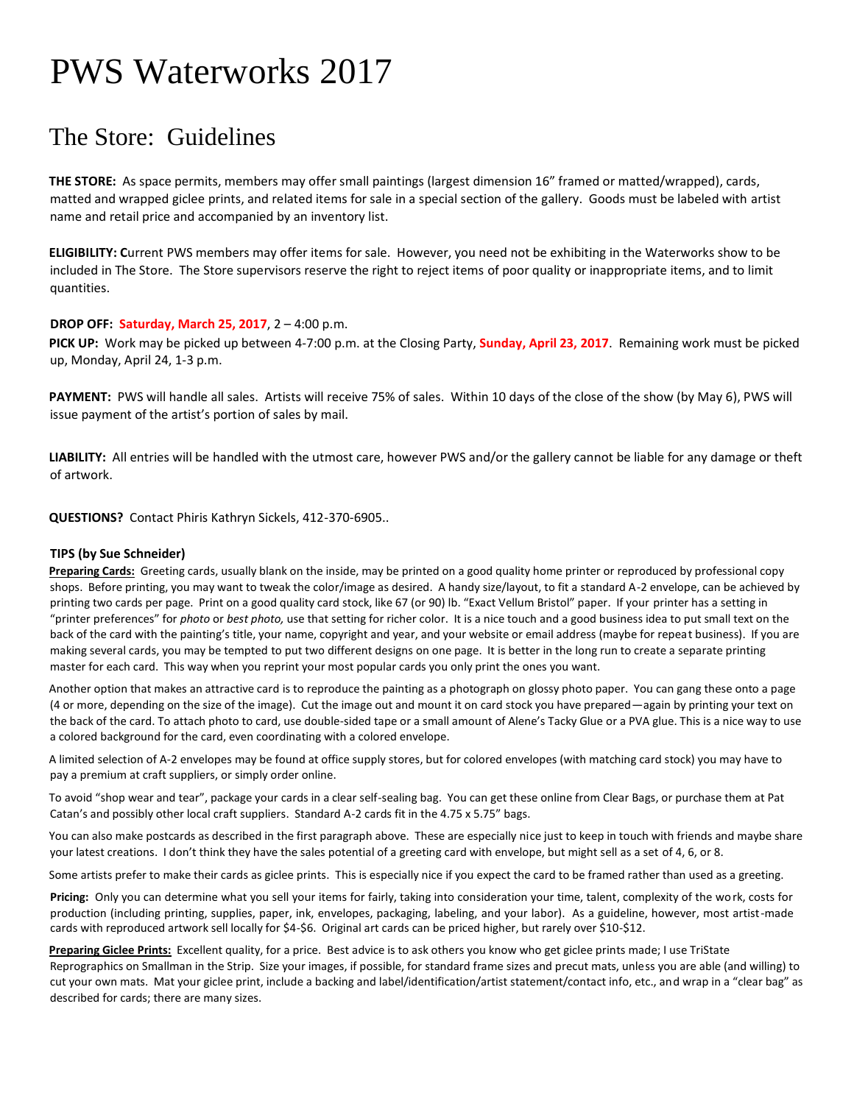# PWS Waterworks 2017

### The Store: Guidelines

**THE STORE:** As space permits, members may offer small paintings (largest dimension 16" framed or matted/wrapped), cards, matted and wrapped giclee prints, and related items for sale in a special section of the gallery. Goods must be labeled with artist name and retail price and accompanied by an inventory list.

**ELIGIBILITY: C**urrent PWS members may offer items for sale. However, you need not be exhibiting in the Waterworks show to be included in The Store. The Store supervisors reserve the right to reject items of poor quality or inappropriate items, and to limit quantities.

#### **DROP OFF: Saturday, March 25, 2017**, 2 – 4:00 p.m.

**PICK UP:** Work may be picked up between 4-7:00 p.m. at the Closing Party, **Sunday, April 23, 2017**. Remaining work must be picked up, Monday, April 24, 1-3 p.m.

**PAYMENT:** PWS will handle all sales. Artists will receive 75% of sales. Within 10 days of the close of the show (by May 6), PWS will issue payment of the artist's portion of sales by mail.

**LIABILITY:** All entries will be handled with the utmost care, however PWS and/or the gallery cannot be liable for any damage or theft of artwork.

**QUESTIONS?** Contact Phiris Kathryn Sickels, 412-370-6905..

#### **TIPS (by Sue Schneider)**

**Preparing Cards:** Greeting cards, usually blank on the inside, may be printed on a good quality home printer or reproduced by professional copy shops. Before printing, you may want to tweak the color/image as desired. A handy size/layout, to fit a standard A-2 envelope, can be achieved by printing two cards per page. Print on a good quality card stock, like 67 (or 90) lb. "Exact Vellum Bristol" paper. If your printer has a setting in "printer preferences" for *photo* or *best photo,* use that setting for richer color. It is a nice touch and a good business idea to put small text on the back of the card with the painting's title, your name, copyright and year, and your website or email address (maybe for repeat business). If you are making several cards, you may be tempted to put two different designs on one page. It is better in the long run to create a separate printing master for each card. This way when you reprint your most popular cards you only print the ones you want.

Another option that makes an attractive card is to reproduce the painting as a photograph on glossy photo paper. You can gang these onto a page (4 or more, depending on the size of the image). Cut the image out and mount it on card stock you have prepared—again by printing your text on the back of the card. To attach photo to card, use double-sided tape or a small amount of Alene's Tacky Glue or a PVA glue. This is a nice way to use a colored background for the card, even coordinating with a colored envelope.

A limited selection of A-2 envelopes may be found at office supply stores, but for colored envelopes (with matching card stock) you may have to pay a premium at craft suppliers, or simply order online.

To avoid "shop wear and tear", package your cards in a clear self-sealing bag. You can get these online from Clear Bags, or purchase them at Pat Catan's and possibly other local craft suppliers. Standard A-2 cards fit in the 4.75 x 5.75" bags.

You can also make postcards as described in the first paragraph above. These are especially nice just to keep in touch with friends and maybe share your latest creations. I don't think they have the sales potential of a greeting card with envelope, but might sell as a set of 4, 6, or 8.

Some artists prefer to make their cards as giclee prints. This is especially nice if you expect the card to be framed rather than used as a greeting.

**Pricing:** Only you can determine what you sell your items for fairly, taking into consideration your time, talent, complexity of the work, costs for production (including printing, supplies, paper, ink, envelopes, packaging, labeling, and your labor). As a guideline, however, most artist-made cards with reproduced artwork sell locally for \$4-\$6. Original art cards can be priced higher, but rarely over \$10-\$12.

**Preparing Giclee Prints:** Excellent quality, for a price. Best advice is to ask others you know who get giclee prints made; I use TriState Reprographics on Smallman in the Strip. Size your images, if possible, for standard frame sizes and precut mats, unless you are able (and willing) to cut your own mats. Mat your giclee print, include a backing and label/identification/artist statement/contact info, etc., and wrap in a "clear bag" as described for cards; there are many sizes.